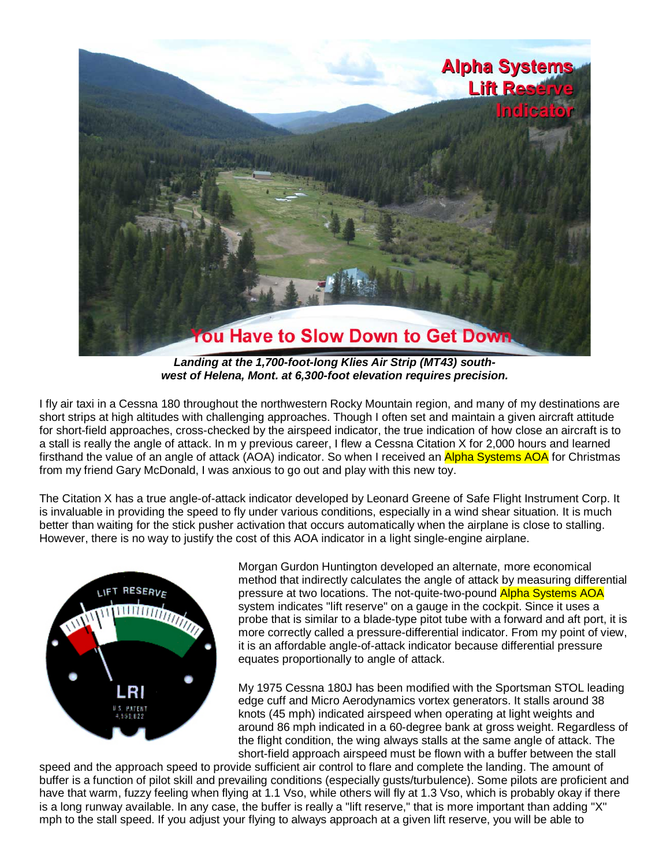

*Landing at the 1,700-foot-long Klies Air Strip (MT43) southwest of Helena, Mont. at 6,300-foot elevation requires precision.*

I fly air taxi in a Cessna 180 throughout the northwestern Rocky Mountain region, and many of my destinations are short strips at high altitudes with challenging approaches. Though I often set and maintain a given aircraft attitude for short-field approaches, cross-checked by the airspeed indicator, the true indication of how close an aircraft is to a stall is really the angle of attack. In m y previous career, I flew a Cessna Citation X for 2,000 hours and learned firsthand the value of an angle of attack (AOA) indicator. So when I received an Alpha Systems AOA for Christmas from my friend Gary McDonald, I was anxious to go out and play with this new toy.

The Citation X has a true angle-of-attack indicator developed by Leonard Greene of Safe Flight Instrument Corp. It is invaluable in providing the speed to fly under various conditions, especially in a wind shear situation. It is much better than waiting for the stick pusher activation that occurs automatically when the airplane is close to stalling. However, there is no way to justify the cost of this AOA indicator in a light single-engine airplane.



Morgan Gurdon Huntington developed an alternate, more economical method that indirectly calculates the angle of attack by measuring differential pressure at two locations. The not-quite-two-pound Alpha Systems AOA system indicates "lift reserve" on a gauge in the cockpit. Since it uses a probe that is similar to a blade-type pitot tube with a forward and aft port, it is more correctly called a pressure-differential indicator. From my point of view, it is an affordable angle-of-attack indicator because differential pressure equates proportionally to angle of attack.

My 1975 Cessna 180J has been modified with the Sportsman STOL leading edge cuff and Micro Aerodynamics vortex generators. It stalls around 38 knots (45 mph) indicated airspeed when operating at light weights and around 86 mph indicated in a 60-degree bank at gross weight. Regardless of the flight condition, the wing always stalls at the same angle of attack. The short-field approach airspeed must be flown with a buffer between the stall

speed and the approach speed to provide sufficient air control to flare and complete the landing. The amount of buffer is a function of pilot skill and prevailing conditions (especially gusts/turbulence). Some pilots are proficient and have that warm, fuzzy feeling when flying at 1.1 Vso, while others will fly at 1.3 Vso, which is probably okay if there is a long runway available. In any case, the buffer is really a "lift reserve," that is more important than adding "X" mph to the stall speed. If you adjust your flying to always approach at a given lift reserve, you will be able to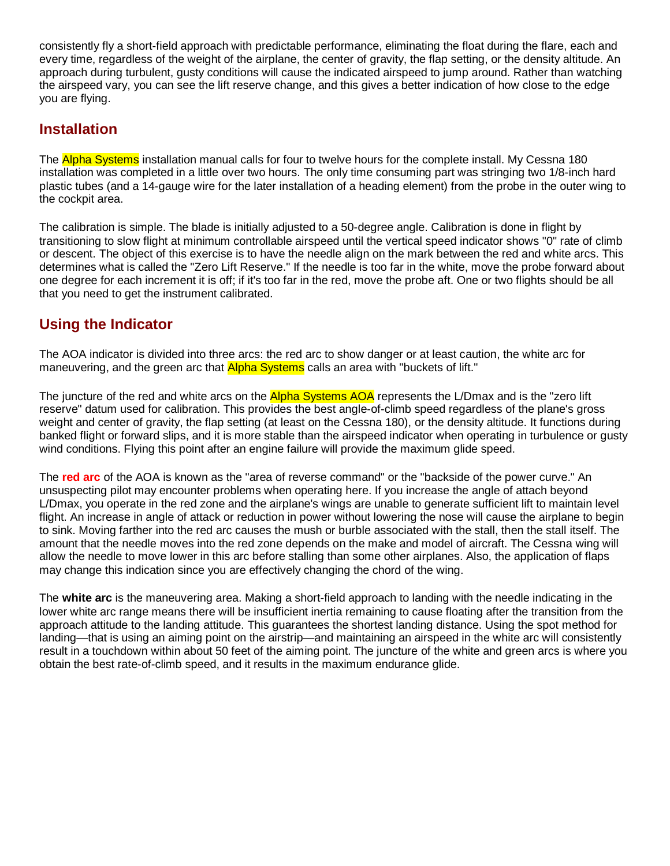consistently fly a short-field approach with predictable performance, eliminating the float during the flare, each and every time, regardless of the weight of the airplane, the center of gravity, the flap setting, or the density altitude. An approach during turbulent, gusty conditions will cause the indicated airspeed to jump around. Rather than watching the airspeed vary, you can see the lift reserve change, and this gives a better indication of how close to the edge you are flying.

## **Installation**

The Alpha Systems installation manual calls for four to twelve hours for the complete install. My Cessna 180 installation was completed in a little over two hours. The only time consuming part was stringing two 1/8-inch hard plastic tubes (and a 14-gauge wire for the later installation of a heading element) from the probe in the outer wing to the cockpit area.

The calibration is simple. The blade is initially adjusted to a 50-degree angle. Calibration is done in flight by transitioning to slow flight at minimum controllable airspeed until the vertical speed indicator shows "0" rate of climb or descent. The object of this exercise is to have the needle align on the mark between the red and white arcs. This determines what is called the "Zero Lift Reserve." If the needle is too far in the white, move the probe forward about one degree for each increment it is off; if it's too far in the red, move the probe aft. One or two flights should be all that you need to get the instrument calibrated.

## **Using the Indicator**

The AOA indicator is divided into three arcs: the red arc to show danger or at least caution, the white arc for maneuvering, and the green arc that **Alpha Systems** calls an area with "buckets of lift."

The juncture of the red and white arcs on the Alpha Systems AOA represents the L/Dmax and is the "zero lift reserve" datum used for calibration. This provides the best angle-of-climb speed regardless of the plane's gross weight and center of gravity, the flap setting (at least on the Cessna 180), or the density altitude. It functions during banked flight or forward slips, and it is more stable than the airspeed indicator when operating in turbulence or gusty wind conditions. Flying this point after an engine failure will provide the maximum glide speed.

The **red arc** of the AOA is known as the "area of reverse command" or the "backside of the power curve." An unsuspecting pilot may encounter problems when operating here. If you increase the angle of attach beyond L/Dmax, you operate in the red zone and the airplane's wings are unable to generate sufficient lift to maintain level flight. An increase in angle of attack or reduction in power without lowering the nose will cause the airplane to begin to sink. Moving farther into the red arc causes the mush or burble associated with the stall, then the stall itself. The amount that the needle moves into the red zone depends on the make and model of aircraft. The Cessna wing will allow the needle to move lower in this arc before stalling than some other airplanes. Also, the application of flaps may change this indication since you are effectively changing the chord of the wing.

The **white arc** is the maneuvering area. Making a short-field approach to landing with the needle indicating in the lower white arc range means there will be insufficient inertia remaining to cause floating after the transition from the approach attitude to the landing attitude. This guarantees the shortest landing distance. Using the spot method for landing—that is using an aiming point on the airstrip—and maintaining an airspeed in the white arc will consistently result in a touchdown within about 50 feet of the aiming point. The juncture of the white and green arcs is where you obtain the best rate-of-climb speed, and it results in the maximum endurance glide.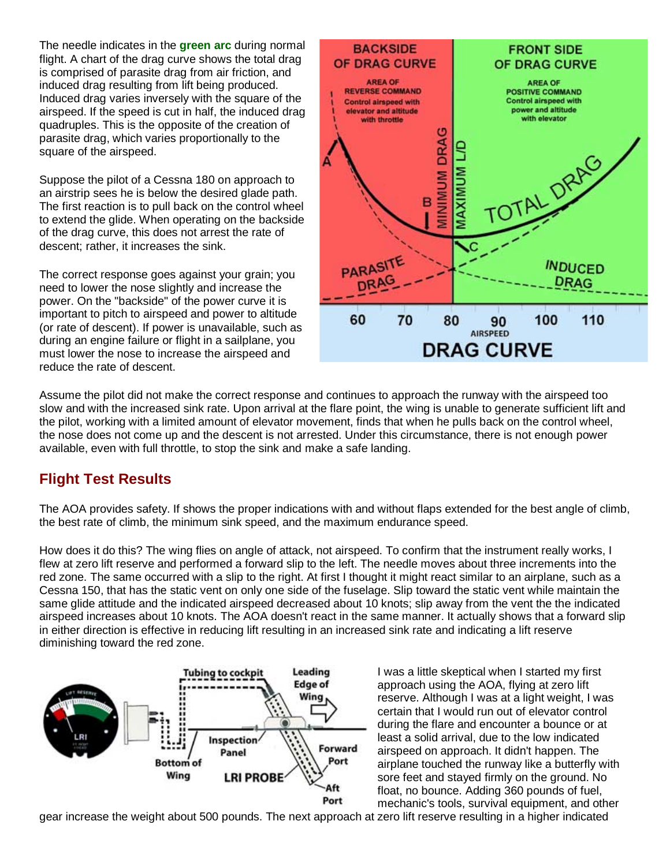The needle indicates in the **green arc** during normal flight. A chart of the drag curve shows the total drag is comprised of parasite drag from air friction, and induced drag resulting from lift being produced. Induced drag varies inversely with the square of the airspeed. If the speed is cut in half, the induced drag quadruples. This is the opposite of the creation of parasite drag, which varies proportionally to the square of the airspeed.

Suppose the pilot of a Cessna 180 on approach to an airstrip sees he is below the desired glade path. The first reaction is to pull back on the control wheel to extend the glide. When operating on the backside of the drag curve, this does not arrest the rate of descent; rather, it increases the sink.

The correct response goes against your grain; you need to lower the nose slightly and increase the power. On the "backside" of the power curve it is important to pitch to airspeed and power to altitude (or rate of descent). If power is unavailable, such as during an engine failure or flight in a sailplane, you must lower the nose to increase the airspeed and reduce the rate of descent.



Assume the pilot did not make the correct response and continues to approach the runway with the airspeed too slow and with the increased sink rate. Upon arrival at the flare point, the wing is unable to generate sufficient lift and the pilot, working with a limited amount of elevator movement, finds that when he pulls back on the control wheel, the nose does not come up and the descent is not arrested. Under this circumstance, there is not enough power available, even with full throttle, to stop the sink and make a safe landing.

## **Flight Test Results**

The AOA provides safety. If shows the proper indications with and without flaps extended for the best angle of climb, the best rate of climb, the minimum sink speed, and the maximum endurance speed.

How does it do this? The wing flies on angle of attack, not airspeed. To confirm that the instrument really works, I flew at zero lift reserve and performed a forward slip to the left. The needle moves about three increments into the red zone. The same occurred with a slip to the right. At first I thought it might react similar to an airplane, such as a Cessna 150, that has the static vent on only one side of the fuselage. Slip toward the static vent while maintain the same glide attitude and the indicated airspeed decreased about 10 knots; slip away from the vent the the indicated airspeed increases about 10 knots. The AOA doesn't react in the same manner. It actually shows that a forward slip in either direction is effective in reducing lift resulting in an increased sink rate and indicating a lift reserve diminishing toward the red zone.



I was a little skeptical when I started my first approach using the AOA, flying at zero lift reserve. Although I was at a light weight, I was certain that I would run out of elevator control during the flare and encounter a bounce or at least a solid arrival, due to the low indicated airspeed on approach. It didn't happen. The airplane touched the runway like a butterfly with sore feet and stayed firmly on the ground. No float, no bounce. Adding 360 pounds of fuel, mechanic's tools, survival equipment, and other

gear increase the weight about 500 pounds. The next approach at zero lift reserve resulting in a higher indicated